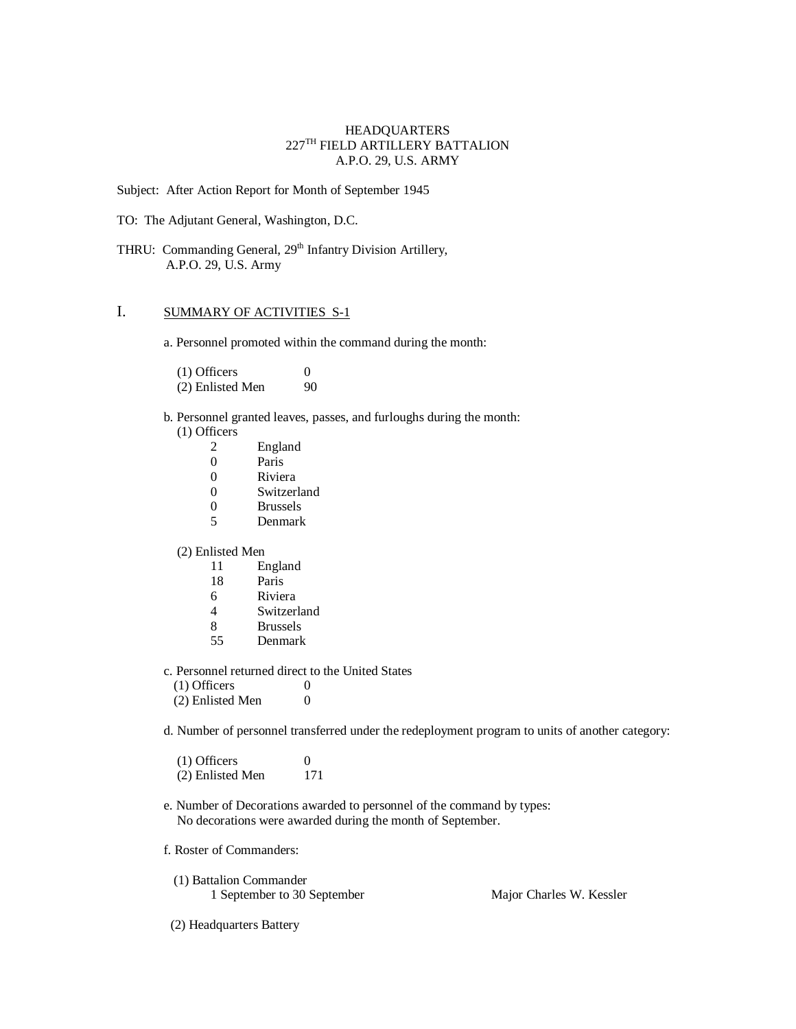### HEADQUARTERS  $227^{\mathrm{TH}}$  FIELD ARTILLERY BATTALION A.P.O. 29, U.S. ARMY

Subject: After Action Report for Month of September 1945

TO: The Adjutant General, Washington, D.C.

THRU: Commanding General, 29<sup>th</sup> Infantry Division Artillery, A.P.O. 29, U.S. Army

# I. SUMMARY OF ACTIVITIES S-1

a. Personnel promoted within the command during the month:

(1) Officers  $0$ <br>(2) Enlisted Men  $90$  $(2)$  Enlisted Men

- b. Personnel granted leaves, passes, and furloughs during the month: (1) Officers
	- 2 England<br>0 Paris Paris 0 Riviera 0 Switzerland<br>0 Brussels
	- **Brussels**
	- 5 Denmark

## (2) Enlisted Men

- 11 England
- 18 Paris
- 6 Riviera
- 4 Switzerland
- 8 Brussels
- 55 Denmark
- c. Personnel returned direct to the United States
	- $(1)$  Officers  $0$  $(2)$  Enlisted Men  $0$
- d. Number of personnel transferred under the redeployment program to units of another category:

| $(1)$ Officers   | $\Omega$ |
|------------------|----------|
| (2) Enlisted Men | 171      |

- e. Number of Decorations awarded to personnel of the command by types: No decorations were awarded during the month of September.
- f. Roster of Commanders:
	- (1) Battalion Commander 1 September to 30 September Major Charles W. Kessler

(2) Headquarters Battery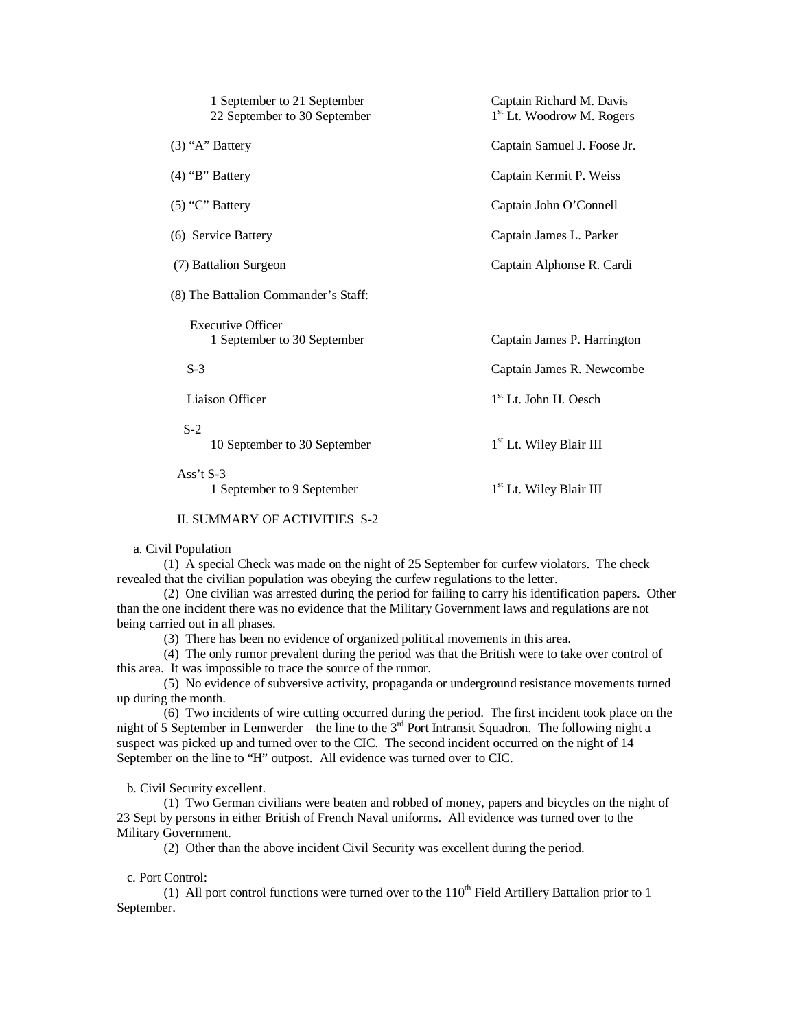| Captain Richard M. Davis<br>1 <sup>st</sup> Lt. Woodrow M. Rogers |
|-------------------------------------------------------------------|
| Captain Samuel J. Foose Jr.                                       |
| Captain Kermit P. Weiss                                           |
| Captain John O'Connell                                            |
| Captain James L. Parker                                           |
| Captain Alphonse R. Cardi                                         |
|                                                                   |
| Captain James P. Harrington                                       |
| Captain James R. Newcombe                                         |
| 1 <sup>st</sup> Lt. John H. Oesch                                 |
| 1 <sup>st</sup> Lt. Wiley Blair III                               |
| 1 <sup>st</sup> Lt. Wiley Blair III                               |
|                                                                   |

### II. SUMMARY OF ACTIVITIES S-2

a. Civil Population

(1) A special Check was made on the night of 25 September for curfew violators. The check revealed that the civilian population was obeying the curfew regulations to the letter.

(2) One civilian was arrested during the period for failing to carry his identification papers. Other than the one incident there was no evidence that the Military Government laws and regulations are not being carried out in all phases.

(3) There has been no evidence of organized political movements in this area.

(4) The only rumor prevalent during the period was that the British were to take over control of this area. It was impossible to trace the source of the rumor.

(5) No evidence of subversive activity, propaganda or underground resistance movements turned up during the month.

(6) Two incidents of wire cutting occurred during the period. The first incident took place on the night of 5 September in Lemwerder – the line to the  $3<sup>rd</sup>$  Port Intransit Squadron. The following night a suspect was picked up and turned over to the CIC. The second incident occurred on the night of 14 September on the line to "H" outpost. All evidence was turned over to CIC.

b. Civil Security excellent.

(1) Two German civilians were beaten and robbed of money, papers and bicycles on the night of 23 Sept by persons in either British of French Naval uniforms. All evidence was turned over to the Military Government.

(2) Other than the above incident Civil Security was excellent during the period.

c. Port Control:

(1) All port control functions were turned over to the  $110<sup>th</sup>$  Field Artillery Battalion prior to 1 September.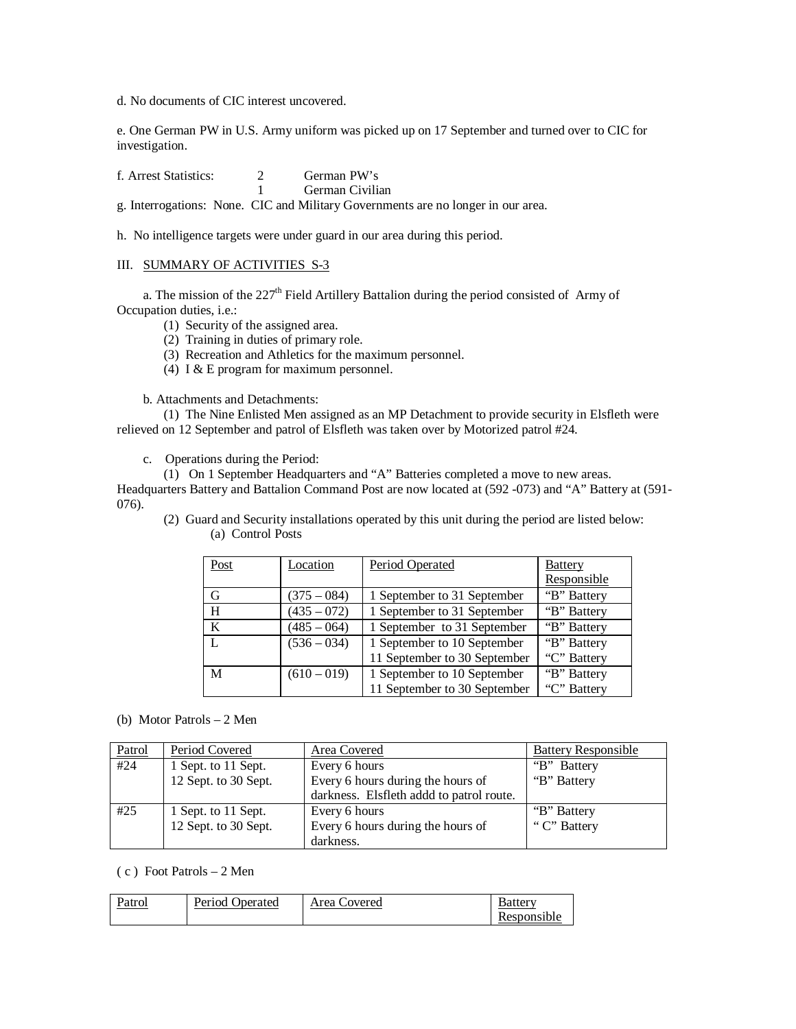d. No documents of CIC interest uncovered.

e. One German PW in U.S. Army uniform was picked up on 17 September and turned over to CIC for investigation.

| f. Arrest Statistics: | German PW's     |
|-----------------------|-----------------|
|                       | German Civilian |

g. Interrogations: None. CIC and Military Governments are no longer in our area.

h. No intelligence targets were under guard in our area during this period.

### III. SUMMARY OF ACTIVITIES S-3

a. The mission of the 227<sup>th</sup> Field Artillery Battalion during the period consisted of Army of Occupation duties, i.e.:

- (1) Security of the assigned area.
- (2) Training in duties of primary role.
- (3) Recreation and Athletics for the maximum personnel.
- (4) I & E program for maximum personnel.

b. Attachments and Detachments:

(1) The Nine Enlisted Men assigned as an MP Detachment to provide security in Elsfleth were relieved on 12 September and patrol of Elsfleth was taken over by Motorized patrol #24.

c. Operations during the Period:

(1) On 1 September Headquarters and "A" Batteries completed a move to new areas.

Headquarters Battery and Battalion Command Post are now located at (592 -073) and "A" Battery at (591- 076).

(2) Guard and Security installations operated by this unit during the period are listed below: (a) Control Posts

| Post | Location      | Period Operated              | <b>Battery</b> |
|------|---------------|------------------------------|----------------|
|      |               |                              | Responsible    |
| G    | $(375 - 084)$ | 1 September to 31 September  | "B" Battery    |
| H    | $(435 - 072)$ | 1 September to 31 September  | "B" Battery    |
| K    | $(485 - 064)$ | 1 September to 31 September  | "B" Battery    |
|      | $(536 - 034)$ | 1 September to 10 September  | "B" Battery    |
|      |               | 11 September to 30 September | "C" Battery    |
| M    | $(610 - 019)$ | 1 September to 10 September  | "B" Battery    |
|      |               | 11 September to 30 September | "C" Battery    |

(b) Motor Patrols – 2 Men

| Patrol | Period Covered       | Area Covered                             | <b>Battery Responsible</b> |
|--------|----------------------|------------------------------------------|----------------------------|
| #24    | 1 Sept. to 11 Sept.  | Every 6 hours                            | "B" Battery"               |
|        | 12 Sept. to 30 Sept. | Every 6 hours during the hours of        | "B" Battery                |
|        |                      | darkness. Elsfleth addd to patrol route. |                            |
| #25    | 1 Sept. to 11 Sept.  | Every 6 hours                            | "B" Battery"               |
|        | 12 Sept. to 30 Sept. | Every 6 hours during the hours of        | "C" Battery                |
|        |                      | darkness.                                |                            |

( c ) Foot Patrols – 2 Men

| Patrol | Period Operated | Area Covered | Batterv     |
|--------|-----------------|--------------|-------------|
|        |                 |              | Responsible |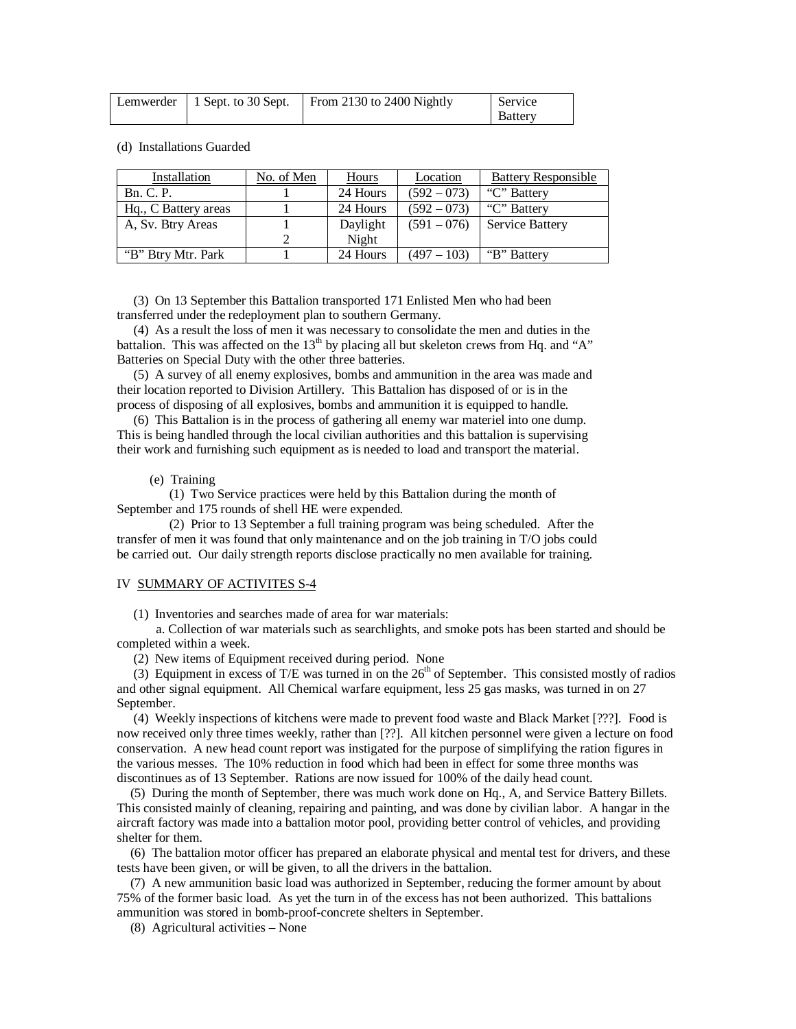|  | Lemwerder   1 Sept. to 30 Sept.   From 2130 to 2400 Nightly | Service |
|--|-------------------------------------------------------------|---------|
|  |                                                             | Battery |

(d) Installations Guarded

| Installation         | No. of Men | Hours    | Location      | <b>Battery Responsible</b> |
|----------------------|------------|----------|---------------|----------------------------|
| <b>Bn. C. P.</b>     |            | 24 Hours | $(592 - 073)$ | "C" Battery                |
| Hq., C Battery areas |            | 24 Hours | $(592 - 073)$ | "C" Battery"               |
| A, Sv. Btry Areas    |            | Daylight | $(591 - 076)$ | Service Battery            |
|                      |            | Night    |               |                            |
| "B" Btry Mtr. Park   |            | 24 Hours | $(497 - 103)$ | "B" Battery"               |

 (3) On 13 September this Battalion transported 171 Enlisted Men who had been transferred under the redeployment plan to southern Germany.

 (4) As a result the loss of men it was necessary to consolidate the men and duties in the battalion. This was affected on the  $13<sup>th</sup>$  by placing all but skeleton crews from Hq. and "A" Batteries on Special Duty with the other three batteries.

 (5) A survey of all enemy explosives, bombs and ammunition in the area was made and their location reported to Division Artillery. This Battalion has disposed of or is in the process of disposing of all explosives, bombs and ammunition it is equipped to handle.

 (6) This Battalion is in the process of gathering all enemy war materiel into one dump. This is being handled through the local civilian authorities and this battalion is supervising their work and furnishing such equipment as is needed to load and transport the material.

## (e) Training

 (1) Two Service practices were held by this Battalion during the month of September and 175 rounds of shell HE were expended.

 (2) Prior to 13 September a full training program was being scheduled. After the transfer of men it was found that only maintenance and on the job training in T/O jobs could be carried out. Our daily strength reports disclose practically no men available for training.

#### IV SUMMARY OF ACTIVITES S-4

(1) Inventories and searches made of area for war materials:

 a. Collection of war materials such as searchlights, and smoke pots has been started and should be completed within a week.

(2) New items of Equipment received during period. None

(3) Equipment in excess of T/E was turned in on the  $26<sup>th</sup>$  of September. This consisted mostly of radios and other signal equipment. All Chemical warfare equipment, less 25 gas masks, was turned in on 27 September.

 (4) Weekly inspections of kitchens were made to prevent food waste and Black Market [???]. Food is now received only three times weekly, rather than [??]. All kitchen personnel were given a lecture on food conservation. A new head count report was instigated for the purpose of simplifying the ration figures in the various messes. The 10% reduction in food which had been in effect for some three months was discontinues as of 13 September. Rations are now issued for 100% of the daily head count.

 (5) During the month of September, there was much work done on Hq., A, and Service Battery Billets. This consisted mainly of cleaning, repairing and painting, and was done by civilian labor. A hangar in the aircraft factory was made into a battalion motor pool, providing better control of vehicles, and providing shelter for them.

 (6) The battalion motor officer has prepared an elaborate physical and mental test for drivers, and these tests have been given, or will be given, to all the drivers in the battalion.

 (7) A new ammunition basic load was authorized in September, reducing the former amount by about 75% of the former basic load. As yet the turn in of the excess has not been authorized. This battalions ammunition was stored in bomb-proof-concrete shelters in September.

(8) Agricultural activities – None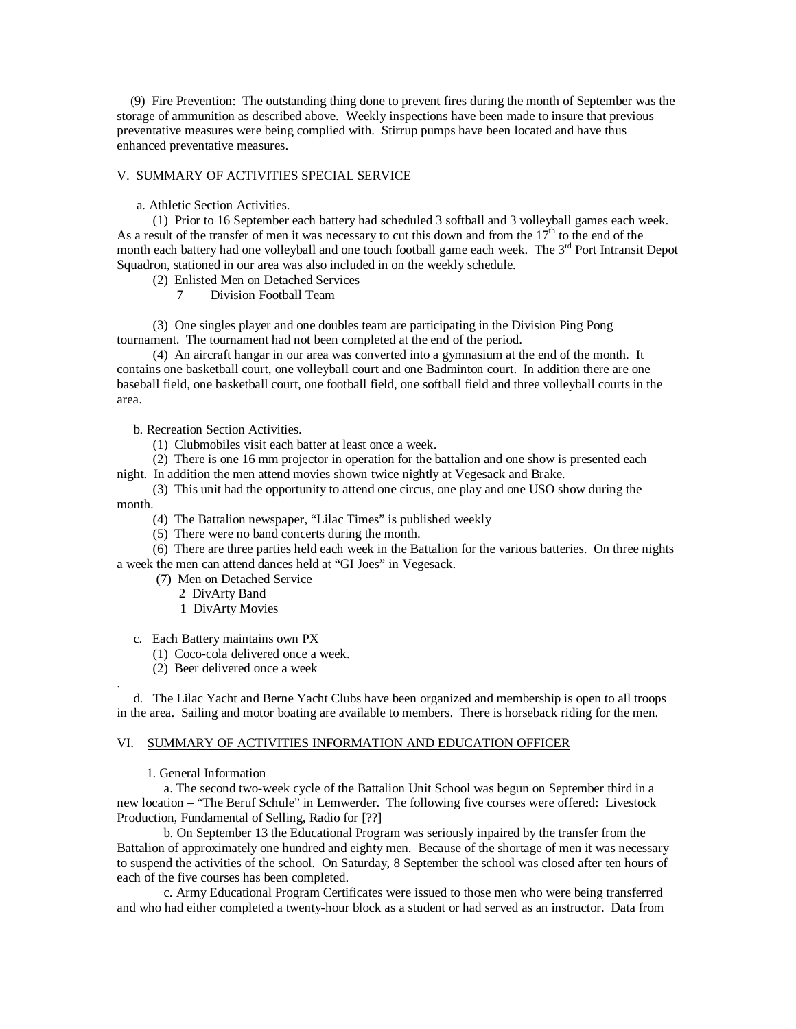(9) Fire Prevention: The outstanding thing done to prevent fires during the month of September was the storage of ammunition as described above. Weekly inspections have been made to insure that previous preventative measures were being complied with. Stirrup pumps have been located and have thus enhanced preventative measures.

#### V. SUMMARY OF ACTIVITIES SPECIAL SERVICE

a. Athletic Section Activities.

 (1) Prior to 16 September each battery had scheduled 3 softball and 3 volleyball games each week. As a result of the transfer of men it was necessary to cut this down and from the  $17<sup>th</sup>$  to the end of the month each battery had one volleyball and one touch football game each week. The 3<sup>rd</sup> Port Intransit Depot Squadron, stationed in our area was also included in on the weekly schedule.

- (2) Enlisted Men on Detached Services
	- 7 Division Football Team

 (3) One singles player and one doubles team are participating in the Division Ping Pong tournament. The tournament had not been completed at the end of the period.

 (4) An aircraft hangar in our area was converted into a gymnasium at the end of the month. It contains one basketball court, one volleyball court and one Badminton court. In addition there are one baseball field, one basketball court, one football field, one softball field and three volleyball courts in the area.

b. Recreation Section Activities.

(1) Clubmobiles visit each batter at least once a week.

(2) There is one 16 mm projector in operation for the battalion and one show is presented each

night. In addition the men attend movies shown twice nightly at Vegesack and Brake.

 (3) This unit had the opportunity to attend one circus, one play and one USO show during the month.

- (4) The Battalion newspaper, "Lilac Times" is published weekly
- (5) There were no band concerts during the month.

 (6) There are three parties held each week in the Battalion for the various batteries. On three nights a week the men can attend dances held at "GI Joes" in Vegesack.

- (7) Men on Detached Service
	- 2 DivArty Band
		- 1 DivArty Movies
- c. Each Battery maintains own PX
	- (1) Coco-cola delivered once a week.
	- (2) Beer delivered once a week

 d. The Lilac Yacht and Berne Yacht Clubs have been organized and membership is open to all troops in the area. Sailing and motor boating are available to members. There is horseback riding for the men.

### VI. SUMMARY OF ACTIVITIES INFORMATION AND EDUCATION OFFICER

### 1. General Information

.

a. The second two-week cycle of the Battalion Unit School was begun on September third in a new location – "The Beruf Schule" in Lemwerder. The following five courses were offered: Livestock Production, Fundamental of Selling, Radio for [??]

b. On September 13 the Educational Program was seriously inpaired by the transfer from the Battalion of approximately one hundred and eighty men. Because of the shortage of men it was necessary to suspend the activities of the school. On Saturday, 8 September the school was closed after ten hours of each of the five courses has been completed.

c. Army Educational Program Certificates were issued to those men who were being transferred and who had either completed a twenty-hour block as a student or had served as an instructor. Data from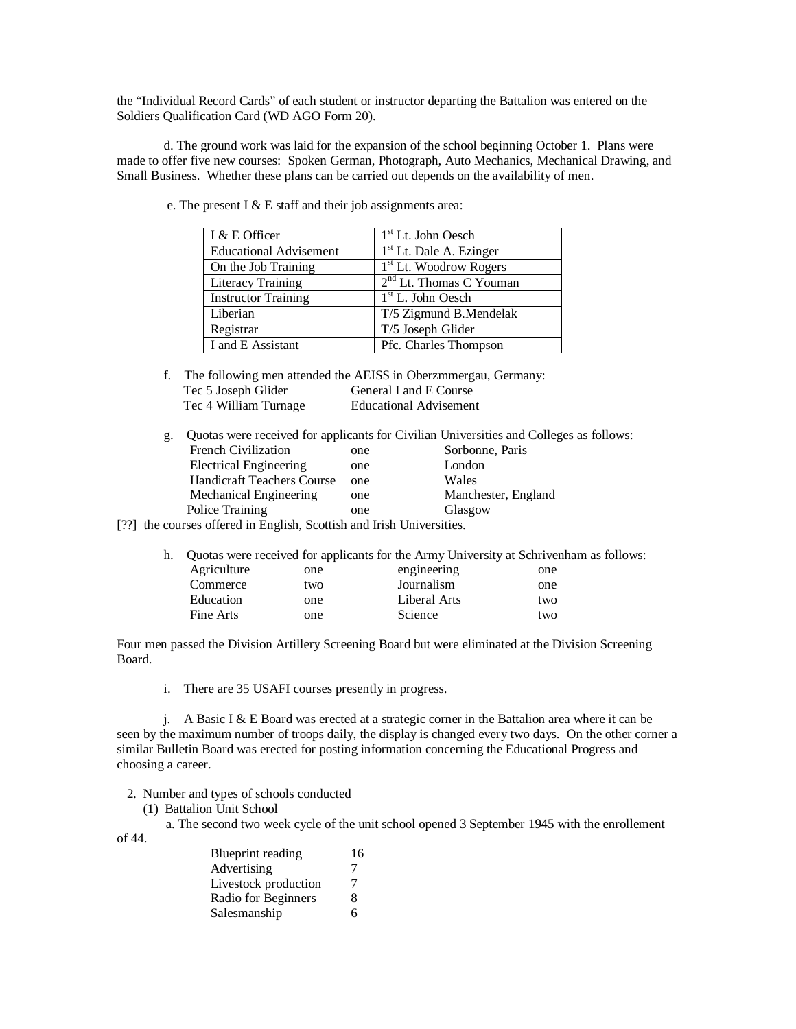the "Individual Record Cards" of each student or instructor departing the Battalion was entered on the Soldiers Qualification Card (WD AGO Form 20).

d. The ground work was laid for the expansion of the school beginning October 1. Plans were made to offer five new courses: Spoken German, Photograph, Auto Mechanics, Mechanical Drawing, and Small Business. Whether these plans can be carried out depends on the availability of men.

| I & E Officer                 | $1st$ Lt. John Oesch               |
|-------------------------------|------------------------------------|
| <b>Educational Advisement</b> | $1st$ Lt. Dale A. Ezinger          |
| On the Job Training           | 1 <sup>st</sup> Lt. Woodrow Rogers |
| <b>Literacy Training</b>      | $2nd$ Lt. Thomas C Youman          |
| <b>Instructor Training</b>    | $1st$ L. John Oesch                |
| Liberian                      | T/5 Zigmund B.Mendelak             |
| Registrar                     | T/5 Joseph Glider                  |
| I and E Assistant             | Pfc. Charles Thompson              |

e. The present I & E staff and their job assignments area:

- f. The following men attended the AEISS in Oberzmmergau, Germany: Tec 5 Joseph Glider General I and E Course Tec 4 William Turnage Educational Advisement
- g. Quotas were received for applicants for Civilian Universities and Colleges as follows: French Civilization one Sorbonne, Paris Electrical Engineering one London<br>
Handicraft Teachers Course one Wales Handicraft Teachers Course one Wales<br>
Mechanical Engineering one Manchester, England Mechanical Engineering one Police Training one Glasgow

[??] the courses offered in English, Scottish and Irish Universities.

|             |     | h. Quotas were received for applicants for the Army University at Schrivenham as follows: |     |
|-------------|-----|-------------------------------------------------------------------------------------------|-----|
| Agriculture | one | engineering                                                                               | one |
| Commerce    | two | Journalism                                                                                | one |
| Education   | one | Liberal Arts                                                                              | two |
| Fine Arts   | one | Science                                                                                   | two |
|             |     |                                                                                           |     |

Four men passed the Division Artillery Screening Board but were eliminated at the Division Screening Board.

i. There are 35 USAFI courses presently in progress.

j. A Basic I  $& \& \text{E}$  Board was erected at a strategic corner in the Battalion area where it can be seen by the maximum number of troops daily, the display is changed every two days. On the other corner a similar Bulletin Board was erected for posting information concerning the Educational Progress and choosing a career.

- 2. Number and types of schools conducted
	- (1) Battalion Unit School

of 44.

a. The second two week cycle of the unit school opened 3 September 1945 with the enrollement

| Blueprint reading    | 16 |
|----------------------|----|
| Advertising          | 7  |
| Livestock production | 7  |
| Radio for Beginners  | 8  |
| Salesmanship         | 6  |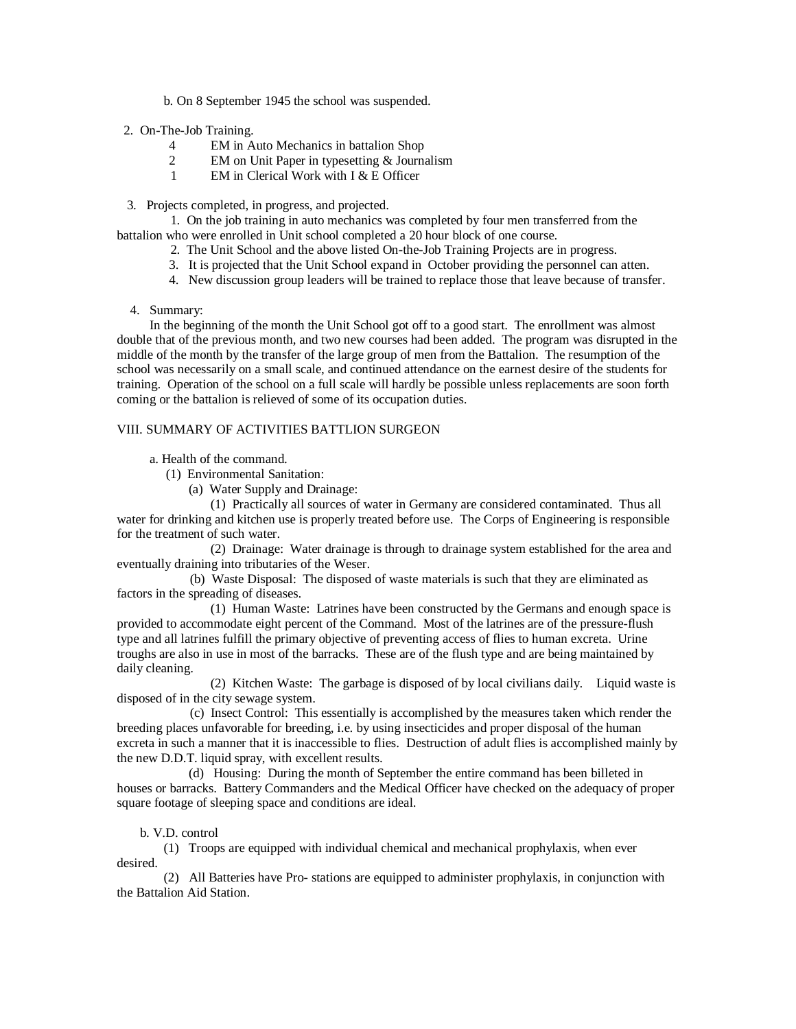b. On 8 September 1945 the school was suspended.

- 2. On-The-Job Training.
	- 4 EM in Auto Mechanics in battalion Shop
	- 2 EM on Unit Paper in typesetting & Journalism
	- 1 EM in Clerical Work with I & E Officer

3. Projects completed, in progress, and projected.

 1. On the job training in auto mechanics was completed by four men transferred from the battalion who were enrolled in Unit school completed a 20 hour block of one course.

- 2. The Unit School and the above listed On-the-Job Training Projects are in progress.
- 3. It is projected that the Unit School expand in October providing the personnel can atten.
- 4. New discussion group leaders will be trained to replace those that leave because of transfer.
- 4. Summary:

 In the beginning of the month the Unit School got off to a good start. The enrollment was almost double that of the previous month, and two new courses had been added. The program was disrupted in the middle of the month by the transfer of the large group of men from the Battalion. The resumption of the school was necessarily on a small scale, and continued attendance on the earnest desire of the students for training. Operation of the school on a full scale will hardly be possible unless replacements are soon forth coming or the battalion is relieved of some of its occupation duties.

### VIII. SUMMARY OF ACTIVITIES BATTLION SURGEON

a. Health of the command.

- (1) Environmental Sanitation:
	- (a) Water Supply and Drainage:

(1) Practically all sources of water in Germany are considered contaminated. Thus all water for drinking and kitchen use is properly treated before use. The Corps of Engineering is responsible for the treatment of such water.

(2) Drainage: Water drainage is through to drainage system established for the area and eventually draining into tributaries of the Weser.

 (b) Waste Disposal: The disposed of waste materials is such that they are eliminated as factors in the spreading of diseases.

(1) Human Waste: Latrines have been constructed by the Germans and enough space is provided to accommodate eight percent of the Command. Most of the latrines are of the pressure-flush type and all latrines fulfill the primary objective of preventing access of flies to human excreta. Urine troughs are also in use in most of the barracks. These are of the flush type and are being maintained by daily cleaning.

(2) Kitchen Waste: The garbage is disposed of by local civilians daily. Liquid waste is disposed of in the city sewage system.

 (c) Insect Control: This essentially is accomplished by the measures taken which render the breeding places unfavorable for breeding, i.e. by using insecticides and proper disposal of the human excreta in such a manner that it is inaccessible to flies. Destruction of adult flies is accomplished mainly by the new D.D.T. liquid spray, with excellent results.

 (d) Housing: During the month of September the entire command has been billeted in houses or barracks. Battery Commanders and the Medical Officer have checked on the adequacy of proper square footage of sleeping space and conditions are ideal.

### b. V.D. control

(1) Troops are equipped with individual chemical and mechanical prophylaxis, when ever desired.

(2) All Batteries have Pro- stations are equipped to administer prophylaxis, in conjunction with the Battalion Aid Station.